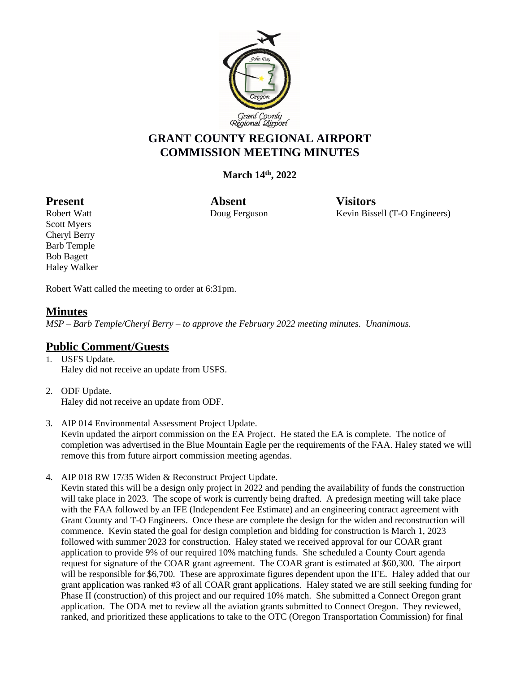

# **GRANT COUNTY REGIONAL AIRPORT COMMISSION MEETING MINUTES**

## **March 14th, 2022**

Present Absent Visitors

Robert Watt **National Convention Convertering Convertision** Exercise Revin Bissell (T-O Engineers)

Scott Myers Cheryl Berry Barb Temple Bob Bagett Haley Walker

Robert Watt called the meeting to order at 6:31pm.

## **Minutes**

*MSP – Barb Temple/Cheryl Berry – to approve the February 2022 meeting minutes. Unanimous.*

## **Public Comment/Guests**

- 1. USFS Update. Haley did not receive an update from USFS.
- 2. ODF Update. Haley did not receive an update from ODF.
- 3. AIP 014 Environmental Assessment Project Update. Kevin updated the airport commission on the EA Project. He stated the EA is complete. The notice of completion was advertised in the Blue Mountain Eagle per the requirements of the FAA. Haley stated we will remove this from future airport commission meeting agendas.
- 4. AIP 018 RW 17/35 Widen & Reconstruct Project Update.

Kevin stated this will be a design only project in 2022 and pending the availability of funds the construction will take place in 2023. The scope of work is currently being drafted. A predesign meeting will take place with the FAA followed by an IFE (Independent Fee Estimate) and an engineering contract agreement with Grant County and T-O Engineers. Once these are complete the design for the widen and reconstruction will commence. Kevin stated the goal for design completion and bidding for construction is March 1, 2023 followed with summer 2023 for construction. Haley stated we received approval for our COAR grant application to provide 9% of our required 10% matching funds. She scheduled a County Court agenda request for signature of the COAR grant agreement. The COAR grant is estimated at \$60,300. The airport will be responsible for \$6,700. These are approximate figures dependent upon the IFE. Haley added that our grant application was ranked #3 of all COAR grant applications. Haley stated we are still seeking funding for Phase II (construction) of this project and our required 10% match. She submitted a Connect Oregon grant application. The ODA met to review all the aviation grants submitted to Connect Oregon. They reviewed, ranked, and prioritized these applications to take to the OTC (Oregon Transportation Commission) for final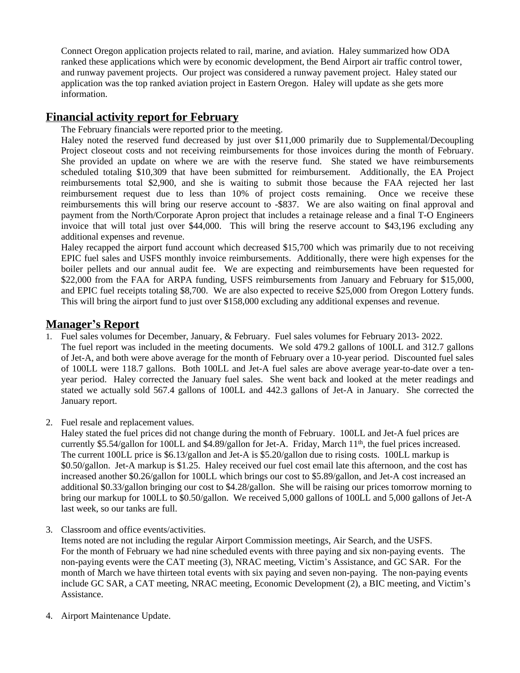Connect Oregon application projects related to rail, marine, and aviation. Haley summarized how ODA ranked these applications which were by economic development, the Bend Airport air traffic control tower, and runway pavement projects. Our project was considered a runway pavement project. Haley stated our application was the top ranked aviation project in Eastern Oregon. Haley will update as she gets more information.

## **Financial activity report for February**

The February financials were reported prior to the meeting.

Haley noted the reserved fund decreased by just over \$11,000 primarily due to Supplemental/Decoupling Project closeout costs and not receiving reimbursements for those invoices during the month of February. She provided an update on where we are with the reserve fund. She stated we have reimbursements scheduled totaling \$10,309 that have been submitted for reimbursement. Additionally, the EA Project reimbursements total \$2,900, and she is waiting to submit those because the FAA rejected her last reimbursement request due to less than 10% of project costs remaining. Once we receive these reimbursements this will bring our reserve account to -\$837. We are also waiting on final approval and payment from the North/Corporate Apron project that includes a retainage release and a final T-O Engineers invoice that will total just over \$44,000. This will bring the reserve account to \$43,196 excluding any additional expenses and revenue.

Haley recapped the airport fund account which decreased \$15,700 which was primarily due to not receiving EPIC fuel sales and USFS monthly invoice reimbursements. Additionally, there were high expenses for the boiler pellets and our annual audit fee. We are expecting and reimbursements have been requested for \$22,000 from the FAA for ARPA funding, USFS reimbursements from January and February for \$15,000, and EPIC fuel receipts totaling \$8,700. We are also expected to receive \$25,000 from Oregon Lottery funds. This will bring the airport fund to just over \$158,000 excluding any additional expenses and revenue.

#### **Manager's Report**

- 1. Fuel sales volumes for December, January, & February. Fuel sales volumes for February 2013- 2022. The fuel report was included in the meeting documents. We sold 479.2 gallons of 100LL and 312.7 gallons of Jet-A, and both were above average for the month of February over a 10-year period. Discounted fuel sales of 100LL were 118.7 gallons. Both 100LL and Jet-A fuel sales are above average year-to-date over a tenyear period. Haley corrected the January fuel sales. She went back and looked at the meter readings and stated we actually sold 567.4 gallons of 100LL and 442.3 gallons of Jet-A in January. She corrected the January report.
- 2. Fuel resale and replacement values.

Haley stated the fuel prices did not change during the month of February. 100LL and Jet-A fuel prices are currently \$5.54/gallon for 100LL and \$4.89/gallon for Jet-A. Friday, March 11<sup>th</sup>, the fuel prices increased. The current 100LL price is \$6.13/gallon and Jet-A is \$5.20/gallon due to rising costs. 100LL markup is \$0.50/gallon. Jet-A markup is \$1.25. Haley received our fuel cost email late this afternoon, and the cost has increased another \$0.26/gallon for 100LL which brings our cost to \$5.89/gallon, and Jet-A cost increased an additional \$0.33/gallon bringing our cost to \$4.28/gallon. She will be raising our prices tomorrow morning to bring our markup for 100LL to \$0.50/gallon. We received 5,000 gallons of 100LL and 5,000 gallons of Jet-A last week, so our tanks are full.

3. Classroom and office events/activities.

Items noted are not including the regular Airport Commission meetings, Air Search, and the USFS. For the month of February we had nine scheduled events with three paying and six non-paying events. The non-paying events were the CAT meeting (3), NRAC meeting, Victim's Assistance, and GC SAR. For the month of March we have thirteen total events with six paying and seven non-paying. The non-paying events include GC SAR, a CAT meeting, NRAC meeting, Economic Development (2), a BIC meeting, and Victim's Assistance.

4. Airport Maintenance Update.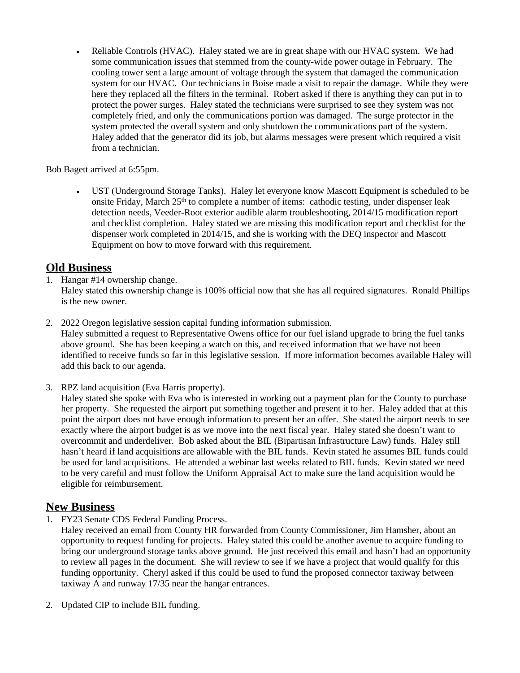Reliable Controls (HVAC). Haley stated we are in great shape with our HVAC system. We had some communication issues that stemmed from the county-wide power outage in February. The cooling tower sent a large amount of voltage through the system that damaged the communication system for our HVAC. Our technicians in Boise made a visit to repair the damage. While they were here they replaced all the filters in the terminal. Robert asked if there is anything they can put in to protect the power surges. Haley stated the technicians were surprised to see they system was not completely fried, and only the communications portion was damaged. The surge protector in the system protected the overall system and only shutdown the communications part of the system. Haley added that the generator did its job, but alarms messages were present which required a visit from a technician.

Bob Bagett arrived at 6:55pm.

 UST (Underground Storage Tanks). Haley let everyone know Mascott Equipment is scheduled to be onsite Friday, March 25<sup>th</sup> to complete a number of items: cathodic testing, under dispenser leak detection needs, Veeder-Root exterior audible alarm troubleshooting, 2014/15 modification report and checklist completion. Haley stated we are missing this modification report and checklist for the dispenser work completed in 2014/15, and she is working with the DEQ inspector and Mascott Equipment on how to move forward with this requirement.

## **Old Business**

1. Hangar #14 ownership change.

Haley stated this ownership change is 100% official now that she has all required signatures. Ronald Phillips is the new owner.

2. 2022 Oregon legislative session capital funding information submission.

Haley submitted a request to Representative Owens office for our fuel island upgrade to bring the fuel tanks above ground. She has been keeping a watch on this, and received information that we have not been identified to receive funds so far in this legislative session. If more information becomes available Haley will add this back to our agenda.

3. RPZ land acquisition (Eva Harris property).

Haley stated she spoke with Eva who is interested in working out a payment plan for the County to purchase her property. She requested the airport put something together and present it to her. Haley added that at this point the airport does not have enough information to present her an offer. She stated the airport needs to see exactly where the airport budget is as we move into the next fiscal year. Haley stated she doesn't want to overcommit and underdeliver. Bob asked about the BIL (Bipartisan Infrastructure Law) funds. Haley still hasn't heard if land acquisitions are allowable with the BIL funds. Kevin stated he assumes BIL funds could be used for land acquisitions. He attended a webinar last weeks related to BIL funds. Kevin stated we need to be very careful and must follow the Uniform Appraisal Act to make sure the land acquisition would be eligible for reimbursement.

## **New Business**

1. FY23 Senate CDS Federal Funding Process.

Haley received an email from County HR forwarded from County Commissioner, Jim Hamsher, about an opportunity to request funding for projects. Haley stated this could be another avenue to acquire funding to bring our underground storage tanks above ground. He just received this email and hasn't had an opportunity to review all pages in the document. She will review to see if we have a project that would qualify for this funding opportunity. Cheryl asked if this could be used to fund the proposed connector taxiway between taxiway A and runway 17/35 near the hangar entrances.

2. Updated CIP to include BIL funding.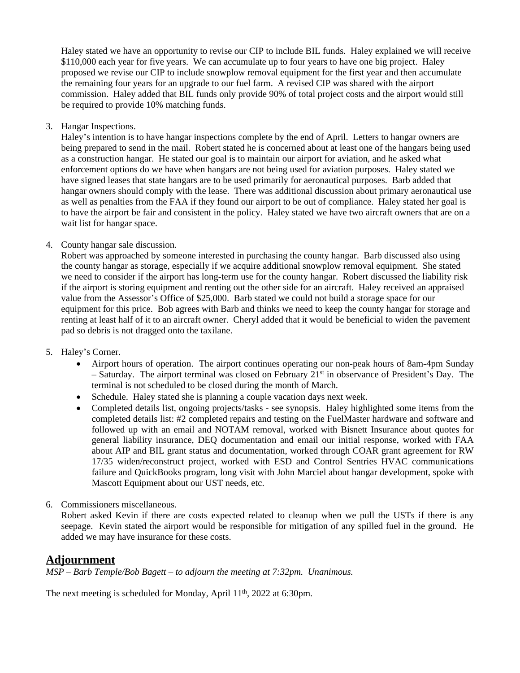Haley stated we have an opportunity to revise our CIP to include BIL funds. Haley explained we will receive \$110,000 each year for five years. We can accumulate up to four years to have one big project. Haley proposed we revise our CIP to include snowplow removal equipment for the first year and then accumulate the remaining four years for an upgrade to our fuel farm. A revised CIP was shared with the airport commission. Haley added that BIL funds only provide 90% of total project costs and the airport would still be required to provide 10% matching funds.

3. Hangar Inspections.

Haley's intention is to have hangar inspections complete by the end of April. Letters to hangar owners are being prepared to send in the mail. Robert stated he is concerned about at least one of the hangars being used as a construction hangar. He stated our goal is to maintain our airport for aviation, and he asked what enforcement options do we have when hangars are not being used for aviation purposes. Haley stated we have signed leases that state hangars are to be used primarily for aeronautical purposes. Barb added that hangar owners should comply with the lease. There was additional discussion about primary aeronautical use as well as penalties from the FAA if they found our airport to be out of compliance. Haley stated her goal is to have the airport be fair and consistent in the policy. Haley stated we have two aircraft owners that are on a wait list for hangar space.

#### 4. County hangar sale discussion.

Robert was approached by someone interested in purchasing the county hangar. Barb discussed also using the county hangar as storage, especially if we acquire additional snowplow removal equipment. She stated we need to consider if the airport has long-term use for the county hangar. Robert discussed the liability risk if the airport is storing equipment and renting out the other side for an aircraft. Haley received an appraised value from the Assessor's Office of \$25,000. Barb stated we could not build a storage space for our equipment for this price. Bob agrees with Barb and thinks we need to keep the county hangar for storage and renting at least half of it to an aircraft owner. Cheryl added that it would be beneficial to widen the pavement pad so debris is not dragged onto the taxilane.

- 5. Haley's Corner.
	- Airport hours of operation. The airport continues operating our non-peak hours of 8am-4pm Sunday  $-$  Saturday. The airport terminal was closed on February 21<sup>st</sup> in observance of President's Day. The terminal is not scheduled to be closed during the month of March.
	- Schedule. Haley stated she is planning a couple vacation days next week.
	- Completed details list, ongoing projects/tasks see synopsis. Haley highlighted some items from the completed details list: #2 completed repairs and testing on the FuelMaster hardware and software and followed up with an email and NOTAM removal, worked with Bisnett Insurance about quotes for general liability insurance, DEQ documentation and email our initial response, worked with FAA about AIP and BIL grant status and documentation, worked through COAR grant agreement for RW 17/35 widen/reconstruct project, worked with ESD and Control Sentries HVAC communications failure and QuickBooks program, long visit with John Marciel about hangar development, spoke with Mascott Equipment about our UST needs, etc.
- 6. Commissioners miscellaneous.

Robert asked Kevin if there are costs expected related to cleanup when we pull the USTs if there is any seepage. Kevin stated the airport would be responsible for mitigation of any spilled fuel in the ground. He added we may have insurance for these costs.

#### **Adjournment**

*MSP – Barb Temple/Bob Bagett – to adjourn the meeting at 7:32pm. Unanimous.*

The next meeting is scheduled for Monday, April 11<sup>th</sup>, 2022 at 6:30pm.